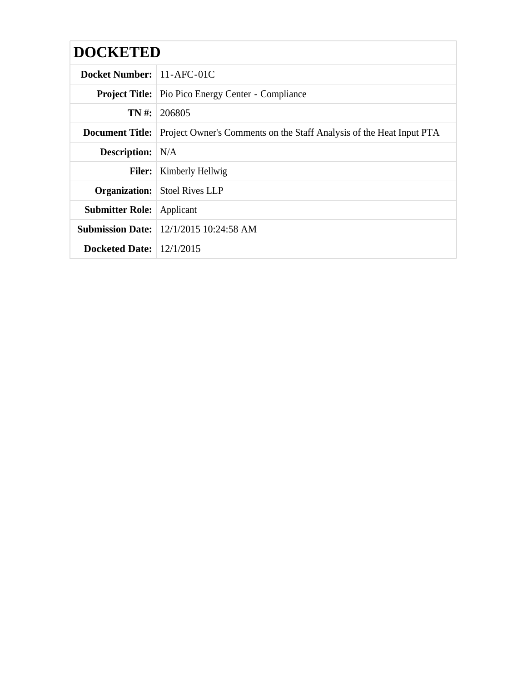| <b>DOCKETED</b>            |                                                                                             |
|----------------------------|---------------------------------------------------------------------------------------------|
| Docket Number: 11-AFC-01C  |                                                                                             |
|                            | <b>Project Title:</b> Pio Pico Energy Center - Compliance                                   |
| TN #:                      | 206805                                                                                      |
|                            | <b>Document Title:</b> Project Owner's Comments on the Staff Analysis of the Heat Input PTA |
| <b>Description:</b> N/A    |                                                                                             |
| <b>Filer:</b>              | Kimberly Hellwig                                                                            |
|                            | <b>Organization:</b> Stoel Rives LLP                                                        |
| <b>Submitter Role:</b>     | Applicant                                                                                   |
|                            | <b>Submission Date:</b> 12/1/2015 10:24:58 AM                                               |
| Docketed Date: $12/1/2015$ |                                                                                             |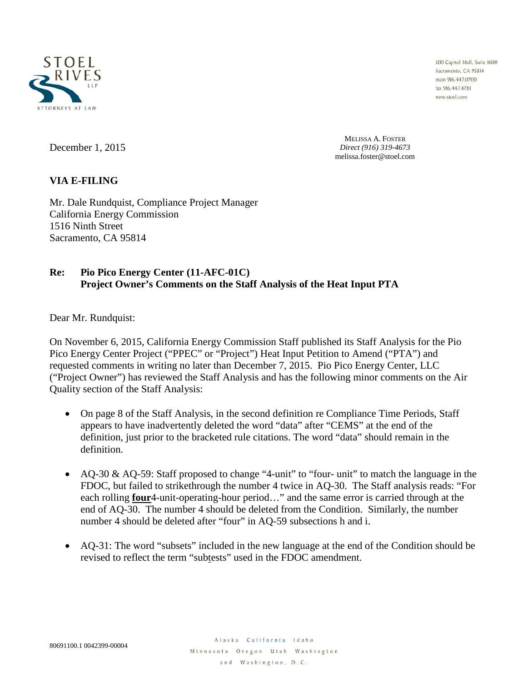

500 Capitol Mall, Suite 1600 Sacramento, CA 95814 main 916.447.0700 fax 916.447.4781 www.stoel.com

December 1, 2015

MELISSA A. FOSTER *Direct (916) 319-4673* melissa.foster@stoel.com

## **VIA E-FILING**

Mr. Dale Rundquist, Compliance Project Manager California Energy Commission 1516 Ninth Street Sacramento, CA 95814

## **Re: Pio Pico Energy Center (11-AFC-01C) Project Owner's Comments on the Staff Analysis of the Heat Input PTA**

Dear Mr. Rundquist:

On November 6, 2015, California Energy Commission Staff published its Staff Analysis for the Pio Pico Energy Center Project ("PPEC" or "Project") Heat Input Petition to Amend ("PTA") and requested comments in writing no later than December 7, 2015. Pio Pico Energy Center, LLC ("Project Owner") has reviewed the Staff Analysis and has the following minor comments on the Air Quality section of the Staff Analysis:

- On page 8 of the Staff Analysis, in the second definition re Compliance Time Periods, Staff appears to have inadvertently deleted the word "data" after "CEMS" at the end of the definition, just prior to the bracketed rule citations. The word "data" should remain in the definition.
- AQ-30 & AQ-59: Staff proposed to change "4-unit" to "four- unit" to match the language in the FDOC, but failed to strikethrough the number 4 twice in AQ-30. The Staff analysis reads: "For each rolling **four**4-unit-operating-hour period…" and the same error is carried through at the end of AQ-30. The number 4 should be deleted from the Condition. Similarly, the number number 4 should be deleted after "four" in AQ-59 subsections h and i.
- AQ-31: The word "subsets" included in the new language at the end of the Condition should be revised to reflect the term "subtests" used in the FDOC amendment.